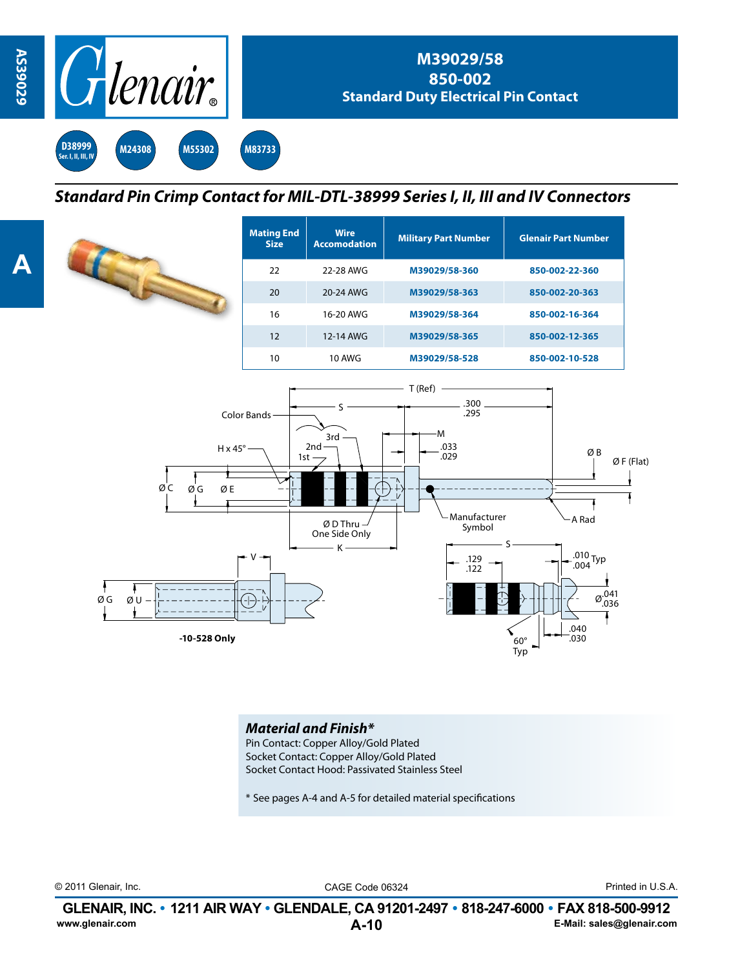

*Standard Pin Crimp Contact for MIL-DTL-38999 Series I, II, III and IV Connectors*

**Wire** 

**Accomodation Military Part Number Glenair Part Number**

Ø B

 $ØF$  (Flat)

|                                       | <b>Size</b>     | <b>Accomodation</b>                                        | <b>MINALY LAFTMANNEL</b>                                               | <b>DICHAIL LALCOALIN</b> |
|---------------------------------------|-----------------|------------------------------------------------------------|------------------------------------------------------------------------|--------------------------|
|                                       | 22              | 22-28 AWG                                                  | M39029/58-360                                                          | 850-002-22-360           |
|                                       | 20              | 20-24 AWG                                                  | M39029/58-363                                                          | 850-002-20-363           |
|                                       | 16              | 16-20 AWG                                                  | M39029/58-364                                                          | 850-002-16-364           |
|                                       | 12              | 12-14 AWG                                                  | M39029/58-365                                                          | 850-002-12-365           |
|                                       | 10 <sup>°</sup> | <b>10 AWG</b>                                              | M39029/58-528                                                          | 850-002-10-528           |
| $H \times 45^\circ$<br>ØС<br>ØG<br>ØE | Color Bands     | 3rd<br>$2nd -$<br>$1st -$<br>Ø D Thru $-$<br>One Side Only | T(Ref)<br>.300<br>.295<br>۰M<br>.033<br>.029<br>Manufacturer<br>Symbol | ØE<br>A Rad              |

**Mating End** 



## *Material and Finish\**

Pin Contact: Copper Alloy/Gold Plated Socket Contact: Copper Alloy/Gold Plated Socket Contact Hood: Passivated Stainless Steel

\* See pages A-4 and A-5 for detailed material specifications

© 2011 Glenair, Inc. CAGE Code 06324 Printed in U.S.A.

**A-10 GLENAIR, INC. • 1211 AIR WAY • GLENDALE, CA 91201-2497 • 818-247-6000 • FAX 818-500-9912**<br>E-Mail: sales@glenair.com **www.glenair.com E-Mail: sales@glenair.com**